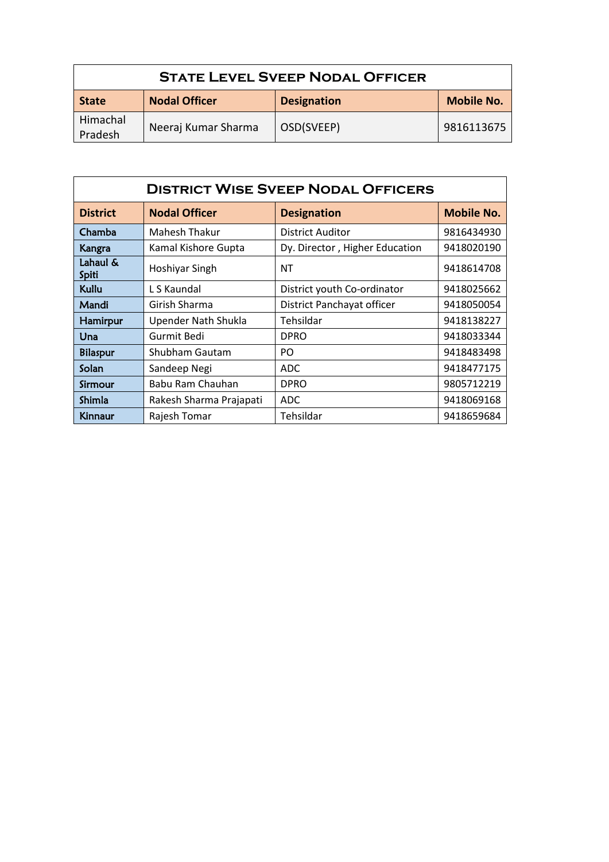| <b>STATE LEVEL SVEEP NODAL OFFICER</b> |                      |                    |                   |  |  |
|----------------------------------------|----------------------|--------------------|-------------------|--|--|
| <b>State</b>                           | <b>Nodal Officer</b> | <b>Designation</b> | <b>Mobile No.</b> |  |  |
| Himachal<br>Pradesh                    | Neeraj Kumar Sharma  | OSD(SVEEP)         | 9816113675        |  |  |

| <b>DISTRICT WISE SVEEP NODAL OFFICERS</b> |                         |                                |                   |  |  |  |
|-------------------------------------------|-------------------------|--------------------------------|-------------------|--|--|--|
| <b>District</b>                           | <b>Nodal Officer</b>    | <b>Designation</b>             | <b>Mobile No.</b> |  |  |  |
| Chamba                                    | Mahesh Thakur           | <b>District Auditor</b>        | 9816434930        |  |  |  |
| Kangra                                    | Kamal Kishore Gupta     | Dy. Director, Higher Education | 9418020190        |  |  |  |
| Lahaul &<br>Spiti                         | Hoshiyar Singh          | NT                             | 9418614708        |  |  |  |
| Kullu                                     | L S Kaundal             | District youth Co-ordinator    | 9418025662        |  |  |  |
| Mandi                                     | Girish Sharma           | District Panchayat officer     | 9418050054        |  |  |  |
| Hamirpur                                  | Upender Nath Shukla     | Tehsildar                      | 9418138227        |  |  |  |
| Una                                       | Gurmit Bedi             | <b>DPRO</b>                    | 9418033344        |  |  |  |
| <b>Bilaspur</b>                           | Shubham Gautam          | PO.                            | 9418483498        |  |  |  |
| Solan                                     | Sandeep Negi            | ADC.                           | 9418477175        |  |  |  |
| Sirmour                                   | Babu Ram Chauhan        | <b>DPRO</b>                    | 9805712219        |  |  |  |
| Shimla                                    | Rakesh Sharma Prajapati | ADC.                           | 9418069168        |  |  |  |
| <b>Kinnaur</b>                            | Rajesh Tomar            | Tehsildar                      | 9418659684        |  |  |  |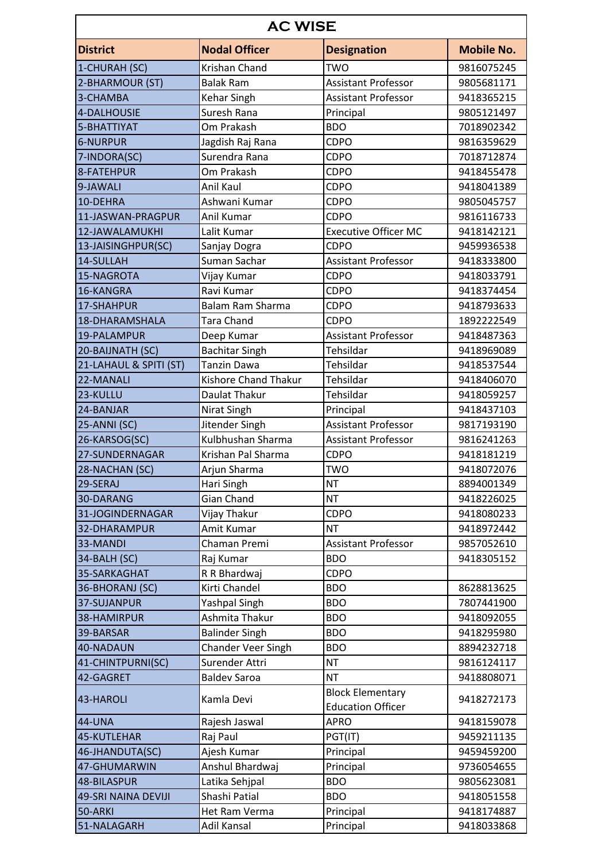| <b>Nodal Officer</b><br><b>Mobile No.</b><br><b>District</b><br><b>Designation</b><br>Krishan Chand<br>1-CHURAH (SC)<br>TWO<br>9816075245<br><b>Assistant Professor</b><br><b>Balak Ram</b><br>9805681171<br>Kehar Singh<br><b>Assistant Professor</b><br>3-CHAMBA<br>9418365215<br>Suresh Rana<br>Principal<br>9805121497<br>Om Prakash<br><b>BDO</b><br>5-BHATTIYAT<br>7018902342<br><b>6-NURPUR</b><br>Jagdish Raj Rana<br>CDPO<br>9816359629<br>Surendra Rana<br>7-INDORA(SC)<br><b>CDPO</b><br>7018712874<br>Om Prakash<br>CDPO<br>9418455478<br>Anil Kaul<br><b>CDPO</b><br>9418041389<br>Ashwani Kumar<br><b>CDPO</b><br>9805045757<br>CDPO<br>Anil Kumar<br>9816116733<br><b>Executive Officer MC</b><br>12-JAWALAMUKHI<br>Lalit Kumar<br>9418142121<br>13-JAISINGHPUR(SC)<br><b>CDPO</b><br>Sanjay Dogra<br>9459936538<br>Suman Sachar<br><b>Assistant Professor</b><br>14-SULLAH<br>9418333800<br>CDPO<br>Vijay Kumar<br>9418033791<br>Ravi Kumar<br>CDPO<br>9418374454<br><b>Balam Ram Sharma</b><br><b>CDPO</b><br>17-SHAHPUR<br>9418793633<br>Tara Chand<br>18-DHARAMSHALA<br><b>CDPO</b><br>1892222549<br>Assistant Professor<br>19-PALAMPUR<br>Deep Kumar<br>9418487363<br><b>Bachitar Singh</b><br>Tehsildar<br>20-BAIJNATH (SC)<br>9418969089<br>21-LAHAUL & SPITI (ST)<br><b>Tanzin Dawa</b><br>Tehsildar<br>9418537544<br><b>Kishore Chand Thakur</b><br>Tehsildar<br>22-MANALI<br>9418406070<br>Daulat Thakur<br>Tehsildar<br>23-KULLU<br>9418059257<br>24-BANJAR<br>Nirat Singh<br>Principal<br>9418437103<br>Jitender Singh<br><b>Assistant Professor</b><br>25-ANNI (SC)<br>9817193190<br>Kulbhushan Sharma<br>26-KARSOG(SC)<br><b>Assistant Professor</b><br>9816241263<br>27-SUNDERNAGAR<br>Krishan Pal Sharma<br><b>CDPO</b><br>9418181219<br>28-NACHAN (SC)<br><b>TWO</b><br>9418072076<br>Arjun Sharma<br>29-SERAJ<br>Hari Singh<br><b>NT</b><br>8894001349<br><b>NT</b><br>Gian Chand<br>30-DARANG<br>9418226025<br>31-JOGINDERNAGAR<br><b>CDPO</b><br>Vijay Thakur<br>9418080233<br>Amit Kumar<br><b>NT</b><br>9418972442<br>32-DHARAMPUR<br>Chaman Premi<br><b>Assistant Professor</b><br>33-MANDI<br>9857052610<br><b>BDO</b><br>34-BALH (SC)<br>Raj Kumar<br>9418305152<br>CDPO<br>35-SARKAGHAT<br>R R Bhardwaj<br>Kirti Chandel<br>8628813625<br>36-BHORANJ (SC)<br><b>BDO</b><br>Yashpal Singh<br>37-SUJANPUR<br><b>BDO</b><br>7807441900<br>Ashmita Thakur<br>38-HAMIRPUR<br><b>BDO</b><br>9418092055<br><b>Balinder Singh</b><br>39-BARSAR<br><b>BDO</b><br>9418295980<br><b>Chander Veer Singh</b><br><b>BDO</b><br>40-NADAUN<br>8894232718<br>Surender Attri<br><b>NT</b><br>41-CHINTPURNI(SC)<br>9816124117<br><b>NT</b><br>42-GAGRET<br><b>Baldev Saroa</b><br>9418808071<br><b>Block Elementary</b><br>Kamla Devi<br>9418272173<br><b>Education Officer</b><br><b>44-UNA</b><br><b>APRO</b><br>Rajesh Jaswal<br>9418159078<br>Raj Paul<br>PGT(IT)<br>9459211135<br>46-JHANDUTA(SC)<br>Ajesh Kumar<br>Principal<br>9459459200<br>Anshul Bhardwaj<br>47-GHUMARWIN<br>Principal<br>9736054655<br><b>BDO</b><br>48-BILASPUR<br>Latika Sehjpal<br>9805623081<br>Shashi Patial<br><b>49-SRI NAINA DEVIJI</b><br><b>BDO</b><br>9418051558<br>Het Ram Verma<br>Principal<br>50-ARKI<br>9418174887<br>51-NALAGARH<br>Adil Kansal<br>Principal<br>9418033868 | <b>AC WISE</b>    |  |  |  |  |  |
|----------------------------------------------------------------------------------------------------------------------------------------------------------------------------------------------------------------------------------------------------------------------------------------------------------------------------------------------------------------------------------------------------------------------------------------------------------------------------------------------------------------------------------------------------------------------------------------------------------------------------------------------------------------------------------------------------------------------------------------------------------------------------------------------------------------------------------------------------------------------------------------------------------------------------------------------------------------------------------------------------------------------------------------------------------------------------------------------------------------------------------------------------------------------------------------------------------------------------------------------------------------------------------------------------------------------------------------------------------------------------------------------------------------------------------------------------------------------------------------------------------------------------------------------------------------------------------------------------------------------------------------------------------------------------------------------------------------------------------------------------------------------------------------------------------------------------------------------------------------------------------------------------------------------------------------------------------------------------------------------------------------------------------------------------------------------------------------------------------------------------------------------------------------------------------------------------------------------------------------------------------------------------------------------------------------------------------------------------------------------------------------------------------------------------------------------------------------------------------------------------------------------------------------------------------------------------------------------------------------------------------------------------------------------------------------------------------------------------------------------------------------------------------------------------------------------------------------------------------------------------------------------------------------------------------------------------------------------------------------------------------------------------------------------------------------------------------------------------------------------------------------------------------------------------------------------------------------------------------------------------------------------------------------------|-------------------|--|--|--|--|--|
|                                                                                                                                                                                                                                                                                                                                                                                                                                                                                                                                                                                                                                                                                                                                                                                                                                                                                                                                                                                                                                                                                                                                                                                                                                                                                                                                                                                                                                                                                                                                                                                                                                                                                                                                                                                                                                                                                                                                                                                                                                                                                                                                                                                                                                                                                                                                                                                                                                                                                                                                                                                                                                                                                                                                                                                                                                                                                                                                                                                                                                                                                                                                                                                                                                                                                              |                   |  |  |  |  |  |
|                                                                                                                                                                                                                                                                                                                                                                                                                                                                                                                                                                                                                                                                                                                                                                                                                                                                                                                                                                                                                                                                                                                                                                                                                                                                                                                                                                                                                                                                                                                                                                                                                                                                                                                                                                                                                                                                                                                                                                                                                                                                                                                                                                                                                                                                                                                                                                                                                                                                                                                                                                                                                                                                                                                                                                                                                                                                                                                                                                                                                                                                                                                                                                                                                                                                                              |                   |  |  |  |  |  |
|                                                                                                                                                                                                                                                                                                                                                                                                                                                                                                                                                                                                                                                                                                                                                                                                                                                                                                                                                                                                                                                                                                                                                                                                                                                                                                                                                                                                                                                                                                                                                                                                                                                                                                                                                                                                                                                                                                                                                                                                                                                                                                                                                                                                                                                                                                                                                                                                                                                                                                                                                                                                                                                                                                                                                                                                                                                                                                                                                                                                                                                                                                                                                                                                                                                                                              | 2-BHARMOUR (ST)   |  |  |  |  |  |
|                                                                                                                                                                                                                                                                                                                                                                                                                                                                                                                                                                                                                                                                                                                                                                                                                                                                                                                                                                                                                                                                                                                                                                                                                                                                                                                                                                                                                                                                                                                                                                                                                                                                                                                                                                                                                                                                                                                                                                                                                                                                                                                                                                                                                                                                                                                                                                                                                                                                                                                                                                                                                                                                                                                                                                                                                                                                                                                                                                                                                                                                                                                                                                                                                                                                                              |                   |  |  |  |  |  |
|                                                                                                                                                                                                                                                                                                                                                                                                                                                                                                                                                                                                                                                                                                                                                                                                                                                                                                                                                                                                                                                                                                                                                                                                                                                                                                                                                                                                                                                                                                                                                                                                                                                                                                                                                                                                                                                                                                                                                                                                                                                                                                                                                                                                                                                                                                                                                                                                                                                                                                                                                                                                                                                                                                                                                                                                                                                                                                                                                                                                                                                                                                                                                                                                                                                                                              | 4-DALHOUSIE       |  |  |  |  |  |
|                                                                                                                                                                                                                                                                                                                                                                                                                                                                                                                                                                                                                                                                                                                                                                                                                                                                                                                                                                                                                                                                                                                                                                                                                                                                                                                                                                                                                                                                                                                                                                                                                                                                                                                                                                                                                                                                                                                                                                                                                                                                                                                                                                                                                                                                                                                                                                                                                                                                                                                                                                                                                                                                                                                                                                                                                                                                                                                                                                                                                                                                                                                                                                                                                                                                                              |                   |  |  |  |  |  |
|                                                                                                                                                                                                                                                                                                                                                                                                                                                                                                                                                                                                                                                                                                                                                                                                                                                                                                                                                                                                                                                                                                                                                                                                                                                                                                                                                                                                                                                                                                                                                                                                                                                                                                                                                                                                                                                                                                                                                                                                                                                                                                                                                                                                                                                                                                                                                                                                                                                                                                                                                                                                                                                                                                                                                                                                                                                                                                                                                                                                                                                                                                                                                                                                                                                                                              |                   |  |  |  |  |  |
|                                                                                                                                                                                                                                                                                                                                                                                                                                                                                                                                                                                                                                                                                                                                                                                                                                                                                                                                                                                                                                                                                                                                                                                                                                                                                                                                                                                                                                                                                                                                                                                                                                                                                                                                                                                                                                                                                                                                                                                                                                                                                                                                                                                                                                                                                                                                                                                                                                                                                                                                                                                                                                                                                                                                                                                                                                                                                                                                                                                                                                                                                                                                                                                                                                                                                              |                   |  |  |  |  |  |
|                                                                                                                                                                                                                                                                                                                                                                                                                                                                                                                                                                                                                                                                                                                                                                                                                                                                                                                                                                                                                                                                                                                                                                                                                                                                                                                                                                                                                                                                                                                                                                                                                                                                                                                                                                                                                                                                                                                                                                                                                                                                                                                                                                                                                                                                                                                                                                                                                                                                                                                                                                                                                                                                                                                                                                                                                                                                                                                                                                                                                                                                                                                                                                                                                                                                                              | 8-FATEHPUR        |  |  |  |  |  |
|                                                                                                                                                                                                                                                                                                                                                                                                                                                                                                                                                                                                                                                                                                                                                                                                                                                                                                                                                                                                                                                                                                                                                                                                                                                                                                                                                                                                                                                                                                                                                                                                                                                                                                                                                                                                                                                                                                                                                                                                                                                                                                                                                                                                                                                                                                                                                                                                                                                                                                                                                                                                                                                                                                                                                                                                                                                                                                                                                                                                                                                                                                                                                                                                                                                                                              | 9-JAWALI          |  |  |  |  |  |
|                                                                                                                                                                                                                                                                                                                                                                                                                                                                                                                                                                                                                                                                                                                                                                                                                                                                                                                                                                                                                                                                                                                                                                                                                                                                                                                                                                                                                                                                                                                                                                                                                                                                                                                                                                                                                                                                                                                                                                                                                                                                                                                                                                                                                                                                                                                                                                                                                                                                                                                                                                                                                                                                                                                                                                                                                                                                                                                                                                                                                                                                                                                                                                                                                                                                                              | 10-DEHRA          |  |  |  |  |  |
|                                                                                                                                                                                                                                                                                                                                                                                                                                                                                                                                                                                                                                                                                                                                                                                                                                                                                                                                                                                                                                                                                                                                                                                                                                                                                                                                                                                                                                                                                                                                                                                                                                                                                                                                                                                                                                                                                                                                                                                                                                                                                                                                                                                                                                                                                                                                                                                                                                                                                                                                                                                                                                                                                                                                                                                                                                                                                                                                                                                                                                                                                                                                                                                                                                                                                              | 11-JASWAN-PRAGPUR |  |  |  |  |  |
|                                                                                                                                                                                                                                                                                                                                                                                                                                                                                                                                                                                                                                                                                                                                                                                                                                                                                                                                                                                                                                                                                                                                                                                                                                                                                                                                                                                                                                                                                                                                                                                                                                                                                                                                                                                                                                                                                                                                                                                                                                                                                                                                                                                                                                                                                                                                                                                                                                                                                                                                                                                                                                                                                                                                                                                                                                                                                                                                                                                                                                                                                                                                                                                                                                                                                              |                   |  |  |  |  |  |
|                                                                                                                                                                                                                                                                                                                                                                                                                                                                                                                                                                                                                                                                                                                                                                                                                                                                                                                                                                                                                                                                                                                                                                                                                                                                                                                                                                                                                                                                                                                                                                                                                                                                                                                                                                                                                                                                                                                                                                                                                                                                                                                                                                                                                                                                                                                                                                                                                                                                                                                                                                                                                                                                                                                                                                                                                                                                                                                                                                                                                                                                                                                                                                                                                                                                                              |                   |  |  |  |  |  |
|                                                                                                                                                                                                                                                                                                                                                                                                                                                                                                                                                                                                                                                                                                                                                                                                                                                                                                                                                                                                                                                                                                                                                                                                                                                                                                                                                                                                                                                                                                                                                                                                                                                                                                                                                                                                                                                                                                                                                                                                                                                                                                                                                                                                                                                                                                                                                                                                                                                                                                                                                                                                                                                                                                                                                                                                                                                                                                                                                                                                                                                                                                                                                                                                                                                                                              |                   |  |  |  |  |  |
|                                                                                                                                                                                                                                                                                                                                                                                                                                                                                                                                                                                                                                                                                                                                                                                                                                                                                                                                                                                                                                                                                                                                                                                                                                                                                                                                                                                                                                                                                                                                                                                                                                                                                                                                                                                                                                                                                                                                                                                                                                                                                                                                                                                                                                                                                                                                                                                                                                                                                                                                                                                                                                                                                                                                                                                                                                                                                                                                                                                                                                                                                                                                                                                                                                                                                              | 15-NAGROTA        |  |  |  |  |  |
|                                                                                                                                                                                                                                                                                                                                                                                                                                                                                                                                                                                                                                                                                                                                                                                                                                                                                                                                                                                                                                                                                                                                                                                                                                                                                                                                                                                                                                                                                                                                                                                                                                                                                                                                                                                                                                                                                                                                                                                                                                                                                                                                                                                                                                                                                                                                                                                                                                                                                                                                                                                                                                                                                                                                                                                                                                                                                                                                                                                                                                                                                                                                                                                                                                                                                              | 16-KANGRA         |  |  |  |  |  |
|                                                                                                                                                                                                                                                                                                                                                                                                                                                                                                                                                                                                                                                                                                                                                                                                                                                                                                                                                                                                                                                                                                                                                                                                                                                                                                                                                                                                                                                                                                                                                                                                                                                                                                                                                                                                                                                                                                                                                                                                                                                                                                                                                                                                                                                                                                                                                                                                                                                                                                                                                                                                                                                                                                                                                                                                                                                                                                                                                                                                                                                                                                                                                                                                                                                                                              |                   |  |  |  |  |  |
|                                                                                                                                                                                                                                                                                                                                                                                                                                                                                                                                                                                                                                                                                                                                                                                                                                                                                                                                                                                                                                                                                                                                                                                                                                                                                                                                                                                                                                                                                                                                                                                                                                                                                                                                                                                                                                                                                                                                                                                                                                                                                                                                                                                                                                                                                                                                                                                                                                                                                                                                                                                                                                                                                                                                                                                                                                                                                                                                                                                                                                                                                                                                                                                                                                                                                              |                   |  |  |  |  |  |
|                                                                                                                                                                                                                                                                                                                                                                                                                                                                                                                                                                                                                                                                                                                                                                                                                                                                                                                                                                                                                                                                                                                                                                                                                                                                                                                                                                                                                                                                                                                                                                                                                                                                                                                                                                                                                                                                                                                                                                                                                                                                                                                                                                                                                                                                                                                                                                                                                                                                                                                                                                                                                                                                                                                                                                                                                                                                                                                                                                                                                                                                                                                                                                                                                                                                                              |                   |  |  |  |  |  |
|                                                                                                                                                                                                                                                                                                                                                                                                                                                                                                                                                                                                                                                                                                                                                                                                                                                                                                                                                                                                                                                                                                                                                                                                                                                                                                                                                                                                                                                                                                                                                                                                                                                                                                                                                                                                                                                                                                                                                                                                                                                                                                                                                                                                                                                                                                                                                                                                                                                                                                                                                                                                                                                                                                                                                                                                                                                                                                                                                                                                                                                                                                                                                                                                                                                                                              |                   |  |  |  |  |  |
|                                                                                                                                                                                                                                                                                                                                                                                                                                                                                                                                                                                                                                                                                                                                                                                                                                                                                                                                                                                                                                                                                                                                                                                                                                                                                                                                                                                                                                                                                                                                                                                                                                                                                                                                                                                                                                                                                                                                                                                                                                                                                                                                                                                                                                                                                                                                                                                                                                                                                                                                                                                                                                                                                                                                                                                                                                                                                                                                                                                                                                                                                                                                                                                                                                                                                              |                   |  |  |  |  |  |
|                                                                                                                                                                                                                                                                                                                                                                                                                                                                                                                                                                                                                                                                                                                                                                                                                                                                                                                                                                                                                                                                                                                                                                                                                                                                                                                                                                                                                                                                                                                                                                                                                                                                                                                                                                                                                                                                                                                                                                                                                                                                                                                                                                                                                                                                                                                                                                                                                                                                                                                                                                                                                                                                                                                                                                                                                                                                                                                                                                                                                                                                                                                                                                                                                                                                                              |                   |  |  |  |  |  |
|                                                                                                                                                                                                                                                                                                                                                                                                                                                                                                                                                                                                                                                                                                                                                                                                                                                                                                                                                                                                                                                                                                                                                                                                                                                                                                                                                                                                                                                                                                                                                                                                                                                                                                                                                                                                                                                                                                                                                                                                                                                                                                                                                                                                                                                                                                                                                                                                                                                                                                                                                                                                                                                                                                                                                                                                                                                                                                                                                                                                                                                                                                                                                                                                                                                                                              |                   |  |  |  |  |  |
|                                                                                                                                                                                                                                                                                                                                                                                                                                                                                                                                                                                                                                                                                                                                                                                                                                                                                                                                                                                                                                                                                                                                                                                                                                                                                                                                                                                                                                                                                                                                                                                                                                                                                                                                                                                                                                                                                                                                                                                                                                                                                                                                                                                                                                                                                                                                                                                                                                                                                                                                                                                                                                                                                                                                                                                                                                                                                                                                                                                                                                                                                                                                                                                                                                                                                              |                   |  |  |  |  |  |
|                                                                                                                                                                                                                                                                                                                                                                                                                                                                                                                                                                                                                                                                                                                                                                                                                                                                                                                                                                                                                                                                                                                                                                                                                                                                                                                                                                                                                                                                                                                                                                                                                                                                                                                                                                                                                                                                                                                                                                                                                                                                                                                                                                                                                                                                                                                                                                                                                                                                                                                                                                                                                                                                                                                                                                                                                                                                                                                                                                                                                                                                                                                                                                                                                                                                                              |                   |  |  |  |  |  |
|                                                                                                                                                                                                                                                                                                                                                                                                                                                                                                                                                                                                                                                                                                                                                                                                                                                                                                                                                                                                                                                                                                                                                                                                                                                                                                                                                                                                                                                                                                                                                                                                                                                                                                                                                                                                                                                                                                                                                                                                                                                                                                                                                                                                                                                                                                                                                                                                                                                                                                                                                                                                                                                                                                                                                                                                                                                                                                                                                                                                                                                                                                                                                                                                                                                                                              |                   |  |  |  |  |  |
|                                                                                                                                                                                                                                                                                                                                                                                                                                                                                                                                                                                                                                                                                                                                                                                                                                                                                                                                                                                                                                                                                                                                                                                                                                                                                                                                                                                                                                                                                                                                                                                                                                                                                                                                                                                                                                                                                                                                                                                                                                                                                                                                                                                                                                                                                                                                                                                                                                                                                                                                                                                                                                                                                                                                                                                                                                                                                                                                                                                                                                                                                                                                                                                                                                                                                              |                   |  |  |  |  |  |
|                                                                                                                                                                                                                                                                                                                                                                                                                                                                                                                                                                                                                                                                                                                                                                                                                                                                                                                                                                                                                                                                                                                                                                                                                                                                                                                                                                                                                                                                                                                                                                                                                                                                                                                                                                                                                                                                                                                                                                                                                                                                                                                                                                                                                                                                                                                                                                                                                                                                                                                                                                                                                                                                                                                                                                                                                                                                                                                                                                                                                                                                                                                                                                                                                                                                                              |                   |  |  |  |  |  |
|                                                                                                                                                                                                                                                                                                                                                                                                                                                                                                                                                                                                                                                                                                                                                                                                                                                                                                                                                                                                                                                                                                                                                                                                                                                                                                                                                                                                                                                                                                                                                                                                                                                                                                                                                                                                                                                                                                                                                                                                                                                                                                                                                                                                                                                                                                                                                                                                                                                                                                                                                                                                                                                                                                                                                                                                                                                                                                                                                                                                                                                                                                                                                                                                                                                                                              |                   |  |  |  |  |  |
|                                                                                                                                                                                                                                                                                                                                                                                                                                                                                                                                                                                                                                                                                                                                                                                                                                                                                                                                                                                                                                                                                                                                                                                                                                                                                                                                                                                                                                                                                                                                                                                                                                                                                                                                                                                                                                                                                                                                                                                                                                                                                                                                                                                                                                                                                                                                                                                                                                                                                                                                                                                                                                                                                                                                                                                                                                                                                                                                                                                                                                                                                                                                                                                                                                                                                              |                   |  |  |  |  |  |
|                                                                                                                                                                                                                                                                                                                                                                                                                                                                                                                                                                                                                                                                                                                                                                                                                                                                                                                                                                                                                                                                                                                                                                                                                                                                                                                                                                                                                                                                                                                                                                                                                                                                                                                                                                                                                                                                                                                                                                                                                                                                                                                                                                                                                                                                                                                                                                                                                                                                                                                                                                                                                                                                                                                                                                                                                                                                                                                                                                                                                                                                                                                                                                                                                                                                                              |                   |  |  |  |  |  |
|                                                                                                                                                                                                                                                                                                                                                                                                                                                                                                                                                                                                                                                                                                                                                                                                                                                                                                                                                                                                                                                                                                                                                                                                                                                                                                                                                                                                                                                                                                                                                                                                                                                                                                                                                                                                                                                                                                                                                                                                                                                                                                                                                                                                                                                                                                                                                                                                                                                                                                                                                                                                                                                                                                                                                                                                                                                                                                                                                                                                                                                                                                                                                                                                                                                                                              |                   |  |  |  |  |  |
|                                                                                                                                                                                                                                                                                                                                                                                                                                                                                                                                                                                                                                                                                                                                                                                                                                                                                                                                                                                                                                                                                                                                                                                                                                                                                                                                                                                                                                                                                                                                                                                                                                                                                                                                                                                                                                                                                                                                                                                                                                                                                                                                                                                                                                                                                                                                                                                                                                                                                                                                                                                                                                                                                                                                                                                                                                                                                                                                                                                                                                                                                                                                                                                                                                                                                              |                   |  |  |  |  |  |
|                                                                                                                                                                                                                                                                                                                                                                                                                                                                                                                                                                                                                                                                                                                                                                                                                                                                                                                                                                                                                                                                                                                                                                                                                                                                                                                                                                                                                                                                                                                                                                                                                                                                                                                                                                                                                                                                                                                                                                                                                                                                                                                                                                                                                                                                                                                                                                                                                                                                                                                                                                                                                                                                                                                                                                                                                                                                                                                                                                                                                                                                                                                                                                                                                                                                                              |                   |  |  |  |  |  |
|                                                                                                                                                                                                                                                                                                                                                                                                                                                                                                                                                                                                                                                                                                                                                                                                                                                                                                                                                                                                                                                                                                                                                                                                                                                                                                                                                                                                                                                                                                                                                                                                                                                                                                                                                                                                                                                                                                                                                                                                                                                                                                                                                                                                                                                                                                                                                                                                                                                                                                                                                                                                                                                                                                                                                                                                                                                                                                                                                                                                                                                                                                                                                                                                                                                                                              |                   |  |  |  |  |  |
|                                                                                                                                                                                                                                                                                                                                                                                                                                                                                                                                                                                                                                                                                                                                                                                                                                                                                                                                                                                                                                                                                                                                                                                                                                                                                                                                                                                                                                                                                                                                                                                                                                                                                                                                                                                                                                                                                                                                                                                                                                                                                                                                                                                                                                                                                                                                                                                                                                                                                                                                                                                                                                                                                                                                                                                                                                                                                                                                                                                                                                                                                                                                                                                                                                                                                              |                   |  |  |  |  |  |
|                                                                                                                                                                                                                                                                                                                                                                                                                                                                                                                                                                                                                                                                                                                                                                                                                                                                                                                                                                                                                                                                                                                                                                                                                                                                                                                                                                                                                                                                                                                                                                                                                                                                                                                                                                                                                                                                                                                                                                                                                                                                                                                                                                                                                                                                                                                                                                                                                                                                                                                                                                                                                                                                                                                                                                                                                                                                                                                                                                                                                                                                                                                                                                                                                                                                                              |                   |  |  |  |  |  |
|                                                                                                                                                                                                                                                                                                                                                                                                                                                                                                                                                                                                                                                                                                                                                                                                                                                                                                                                                                                                                                                                                                                                                                                                                                                                                                                                                                                                                                                                                                                                                                                                                                                                                                                                                                                                                                                                                                                                                                                                                                                                                                                                                                                                                                                                                                                                                                                                                                                                                                                                                                                                                                                                                                                                                                                                                                                                                                                                                                                                                                                                                                                                                                                                                                                                                              |                   |  |  |  |  |  |
|                                                                                                                                                                                                                                                                                                                                                                                                                                                                                                                                                                                                                                                                                                                                                                                                                                                                                                                                                                                                                                                                                                                                                                                                                                                                                                                                                                                                                                                                                                                                                                                                                                                                                                                                                                                                                                                                                                                                                                                                                                                                                                                                                                                                                                                                                                                                                                                                                                                                                                                                                                                                                                                                                                                                                                                                                                                                                                                                                                                                                                                                                                                                                                                                                                                                                              |                   |  |  |  |  |  |
|                                                                                                                                                                                                                                                                                                                                                                                                                                                                                                                                                                                                                                                                                                                                                                                                                                                                                                                                                                                                                                                                                                                                                                                                                                                                                                                                                                                                                                                                                                                                                                                                                                                                                                                                                                                                                                                                                                                                                                                                                                                                                                                                                                                                                                                                                                                                                                                                                                                                                                                                                                                                                                                                                                                                                                                                                                                                                                                                                                                                                                                                                                                                                                                                                                                                                              |                   |  |  |  |  |  |
|                                                                                                                                                                                                                                                                                                                                                                                                                                                                                                                                                                                                                                                                                                                                                                                                                                                                                                                                                                                                                                                                                                                                                                                                                                                                                                                                                                                                                                                                                                                                                                                                                                                                                                                                                                                                                                                                                                                                                                                                                                                                                                                                                                                                                                                                                                                                                                                                                                                                                                                                                                                                                                                                                                                                                                                                                                                                                                                                                                                                                                                                                                                                                                                                                                                                                              |                   |  |  |  |  |  |
|                                                                                                                                                                                                                                                                                                                                                                                                                                                                                                                                                                                                                                                                                                                                                                                                                                                                                                                                                                                                                                                                                                                                                                                                                                                                                                                                                                                                                                                                                                                                                                                                                                                                                                                                                                                                                                                                                                                                                                                                                                                                                                                                                                                                                                                                                                                                                                                                                                                                                                                                                                                                                                                                                                                                                                                                                                                                                                                                                                                                                                                                                                                                                                                                                                                                                              |                   |  |  |  |  |  |
|                                                                                                                                                                                                                                                                                                                                                                                                                                                                                                                                                                                                                                                                                                                                                                                                                                                                                                                                                                                                                                                                                                                                                                                                                                                                                                                                                                                                                                                                                                                                                                                                                                                                                                                                                                                                                                                                                                                                                                                                                                                                                                                                                                                                                                                                                                                                                                                                                                                                                                                                                                                                                                                                                                                                                                                                                                                                                                                                                                                                                                                                                                                                                                                                                                                                                              | 43-HAROLI         |  |  |  |  |  |
|                                                                                                                                                                                                                                                                                                                                                                                                                                                                                                                                                                                                                                                                                                                                                                                                                                                                                                                                                                                                                                                                                                                                                                                                                                                                                                                                                                                                                                                                                                                                                                                                                                                                                                                                                                                                                                                                                                                                                                                                                                                                                                                                                                                                                                                                                                                                                                                                                                                                                                                                                                                                                                                                                                                                                                                                                                                                                                                                                                                                                                                                                                                                                                                                                                                                                              |                   |  |  |  |  |  |
|                                                                                                                                                                                                                                                                                                                                                                                                                                                                                                                                                                                                                                                                                                                                                                                                                                                                                                                                                                                                                                                                                                                                                                                                                                                                                                                                                                                                                                                                                                                                                                                                                                                                                                                                                                                                                                                                                                                                                                                                                                                                                                                                                                                                                                                                                                                                                                                                                                                                                                                                                                                                                                                                                                                                                                                                                                                                                                                                                                                                                                                                                                                                                                                                                                                                                              | 45-KUTLEHAR       |  |  |  |  |  |
|                                                                                                                                                                                                                                                                                                                                                                                                                                                                                                                                                                                                                                                                                                                                                                                                                                                                                                                                                                                                                                                                                                                                                                                                                                                                                                                                                                                                                                                                                                                                                                                                                                                                                                                                                                                                                                                                                                                                                                                                                                                                                                                                                                                                                                                                                                                                                                                                                                                                                                                                                                                                                                                                                                                                                                                                                                                                                                                                                                                                                                                                                                                                                                                                                                                                                              |                   |  |  |  |  |  |
|                                                                                                                                                                                                                                                                                                                                                                                                                                                                                                                                                                                                                                                                                                                                                                                                                                                                                                                                                                                                                                                                                                                                                                                                                                                                                                                                                                                                                                                                                                                                                                                                                                                                                                                                                                                                                                                                                                                                                                                                                                                                                                                                                                                                                                                                                                                                                                                                                                                                                                                                                                                                                                                                                                                                                                                                                                                                                                                                                                                                                                                                                                                                                                                                                                                                                              |                   |  |  |  |  |  |
|                                                                                                                                                                                                                                                                                                                                                                                                                                                                                                                                                                                                                                                                                                                                                                                                                                                                                                                                                                                                                                                                                                                                                                                                                                                                                                                                                                                                                                                                                                                                                                                                                                                                                                                                                                                                                                                                                                                                                                                                                                                                                                                                                                                                                                                                                                                                                                                                                                                                                                                                                                                                                                                                                                                                                                                                                                                                                                                                                                                                                                                                                                                                                                                                                                                                                              |                   |  |  |  |  |  |
|                                                                                                                                                                                                                                                                                                                                                                                                                                                                                                                                                                                                                                                                                                                                                                                                                                                                                                                                                                                                                                                                                                                                                                                                                                                                                                                                                                                                                                                                                                                                                                                                                                                                                                                                                                                                                                                                                                                                                                                                                                                                                                                                                                                                                                                                                                                                                                                                                                                                                                                                                                                                                                                                                                                                                                                                                                                                                                                                                                                                                                                                                                                                                                                                                                                                                              |                   |  |  |  |  |  |
|                                                                                                                                                                                                                                                                                                                                                                                                                                                                                                                                                                                                                                                                                                                                                                                                                                                                                                                                                                                                                                                                                                                                                                                                                                                                                                                                                                                                                                                                                                                                                                                                                                                                                                                                                                                                                                                                                                                                                                                                                                                                                                                                                                                                                                                                                                                                                                                                                                                                                                                                                                                                                                                                                                                                                                                                                                                                                                                                                                                                                                                                                                                                                                                                                                                                                              |                   |  |  |  |  |  |
|                                                                                                                                                                                                                                                                                                                                                                                                                                                                                                                                                                                                                                                                                                                                                                                                                                                                                                                                                                                                                                                                                                                                                                                                                                                                                                                                                                                                                                                                                                                                                                                                                                                                                                                                                                                                                                                                                                                                                                                                                                                                                                                                                                                                                                                                                                                                                                                                                                                                                                                                                                                                                                                                                                                                                                                                                                                                                                                                                                                                                                                                                                                                                                                                                                                                                              |                   |  |  |  |  |  |